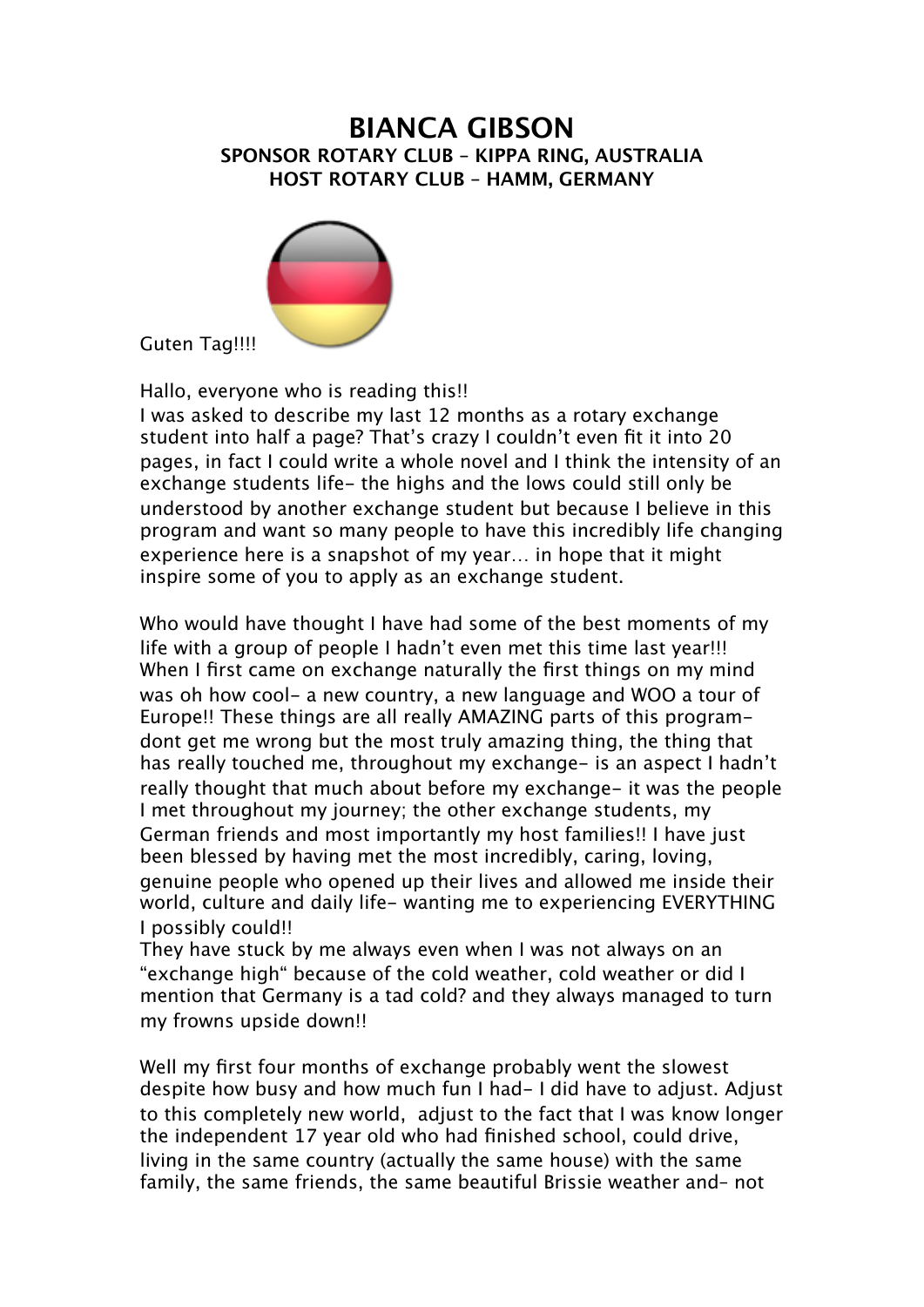## **BIANCA GIBSON SPONSOR ROTARY CLUB – KIPPA RING, AUSTRALIA HOST ROTARY CLUB – HAMM, GERMANY**



Guten Tag!!!!

Hallo, everyone who is reading this!!

I was asked to describe my last 12 months as a rotary exchange student into half a page? That's crazy I couldn't even fit it into 20 pages, in fact I could write a whole novel and I think the intensity of an exchange students life- the highs and the lows could still only be understood by another exchange student but because I believe in this program and want so many people to have this incredibly life changing experience here is a snapshot of my year… in hope that it might inspire some of you to apply as an exchange student.

Who would have thought I have had some of the best moments of my life with a group of people I hadn't even met this time last year!!! When I first came on exchange naturally the first things on my mind was oh how cool- a new country, a new language and WOO a tour of Europe!! These things are all really AMAZING parts of this programdont get me wrong but the most truly amazing thing, the thing that has really touched me, throughout my exchange- is an aspect I hadn't really thought that much about before my exchange- it was the people I met throughout my journey; the other exchange students, my German friends and most importantly my host families!! I have just been blessed by having met the most incredibly, caring, loving, genuine people who opened up their lives and allowed me inside their world, culture and daily life- wanting me to experiencing EVERYTHING I possibly could!!

They have stuck by me always even when I was not always on an "exchange high" because of the cold weather, cold weather or did I mention that Germany is a tad cold? and they always managed to turn my frowns upside down!!

Well my first four months of exchange probably went the slowest despite how busy and how much fun I had- I did have to adjust. Adjust to this completely new world, adjust to the fact that I was know longer the independent 17 year old who had finished school, could drive, living in the same country (actually the same house) with the same family, the same friends, the same beautiful Brissie weather and– not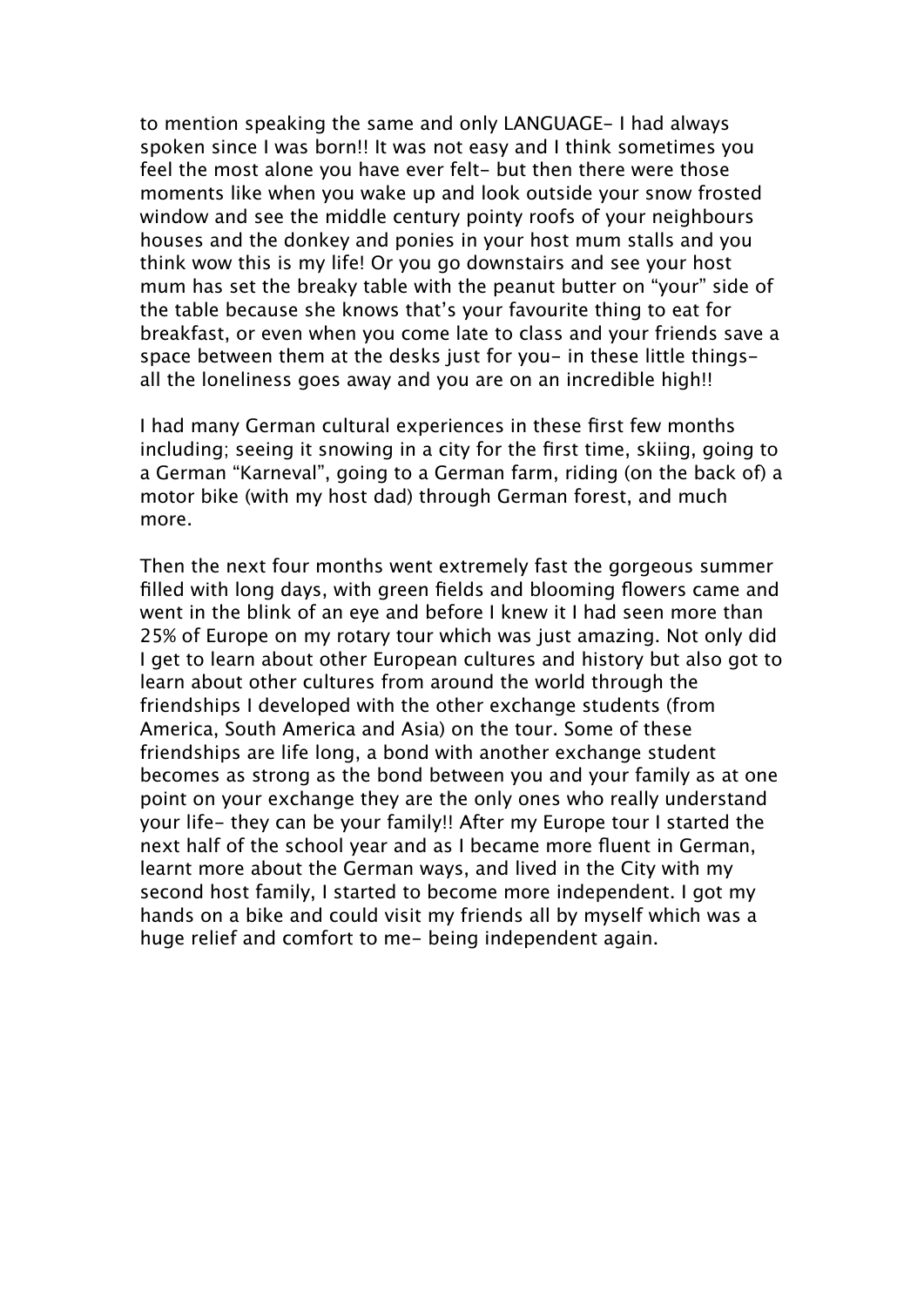to mention speaking the same and only LANGUAGE- I had always spoken since I was born!! It was not easy and I think sometimes you feel the most alone you have ever felt- but then there were those moments like when you wake up and look outside your snow frosted window and see the middle century pointy roofs of your neighbours houses and the donkey and ponies in your host mum stalls and you think wow this is my life! Or you go downstairs and see your host mum has set the breaky table with the peanut butter on "your" side of the table because she knows that's your favourite thing to eat for breakfast, or even when you come late to class and your friends save a space between them at the desks just for you- in these little thingsall the loneliness goes away and you are on an incredible high!!

I had many German cultural experiences in these first few months including; seeing it snowing in a city for the first time, skiing, going to a German "Karneval", going to a German farm, riding (on the back of) a motor bike (with my host dad) through German forest, and much more.

Then the next four months went extremely fast the gorgeous summer filled with long days, with green fields and blooming flowers came and went in the blink of an eye and before I knew it I had seen more than 25% of Europe on my rotary tour which was just amazing. Not only did I get to learn about other European cultures and history but also got to learn about other cultures from around the world through the friendships I developed with the other exchange students (from America, South America and Asia) on the tour. Some of these friendships are life long, a bond with another exchange student becomes as strong as the bond between you and your family as at one point on your exchange they are the only ones who really understand your life- they can be your family!! After my Europe tour I started the next half of the school year and as I became more fluent in German, learnt more about the German ways, and lived in the City with my second host family, I started to become more independent. I got my hands on a bike and could visit my friends all by myself which was a huge relief and comfort to me- being independent again.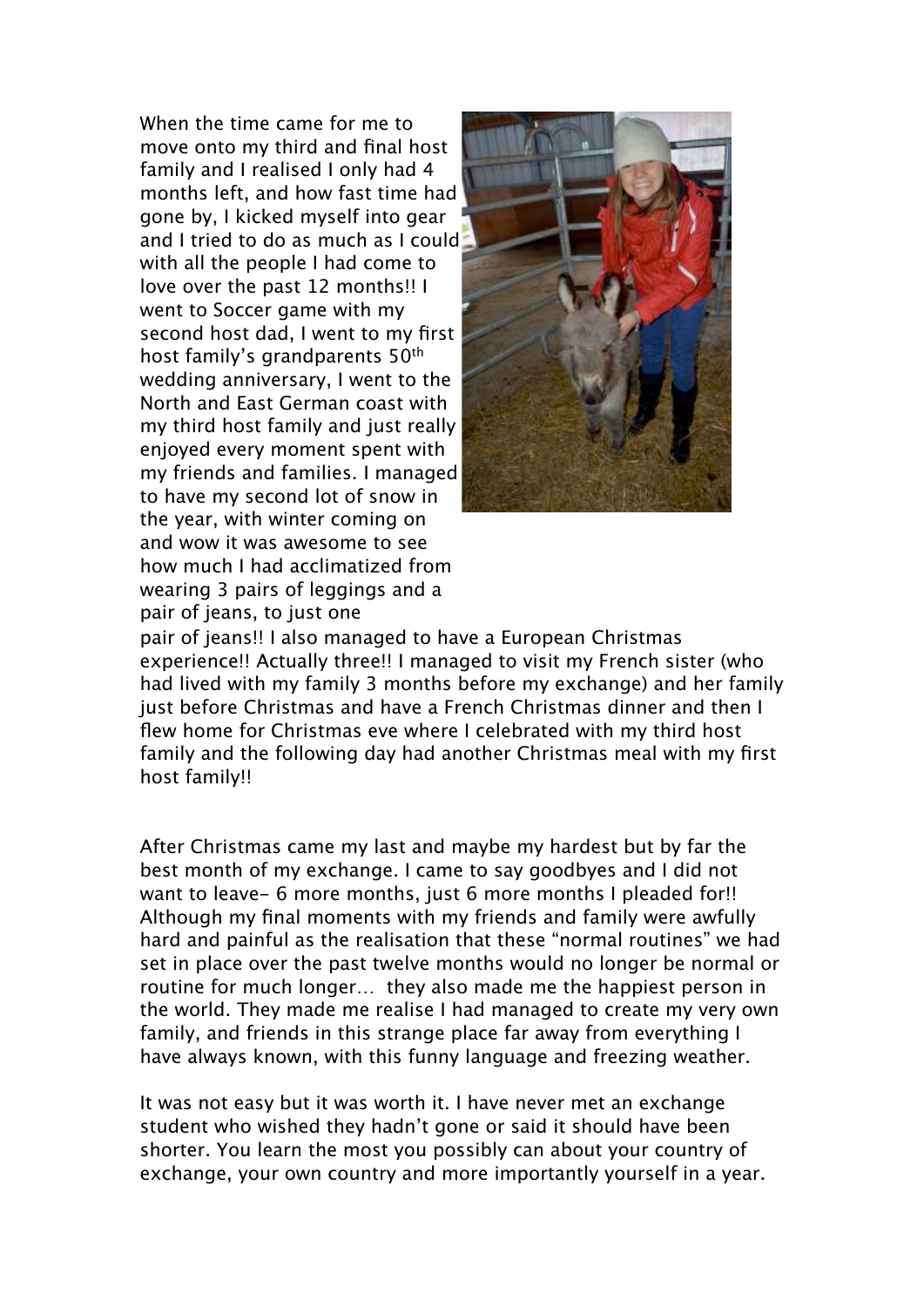When the time came for me to move onto my third and final host family and I realised I only had 4 months left, and how fast time had gone by, I kicked myself into gear and I tried to do as much as I could with all the people I had come to love over the past 12 months!! I went to Soccer game with my second host dad, I went to my first host family's grandparents 50th wedding anniversary, I went to the North and East German coast with my third host family and just really enjoyed every moment spent with my friends and families. I managed to have my second lot of snow in the year, with winter coming on and wow it was awesome to see how much I had acclimatized from wearing 3 pairs of leggings and a pair of jeans, to just one



pair of jeans!! I also managed to have a European Christmas experience!! Actually three!! I managed to visit my French sister (who had lived with my family 3 months before my exchange) and her family just before Christmas and have a French Christmas dinner and then I flew home for Christmas eve where I celebrated with my third host family and the following day had another Christmas meal with my first host family!!

After Christmas came my last and maybe my hardest but by far the best month of my exchange. I came to say goodbyes and I did not want to leave- 6 more months, just 6 more months I pleaded for!! Although my final moments with my friends and family were awfully hard and painful as the realisation that these "normal routines" we had set in place over the past twelve months would no longer be normal or routine for much longer… they also made me the happiest person in the world. They made me realise I had managed to create my very own family, and friends in this strange place far away from everything I have always known, with this funny language and freezing weather.

It was not easy but it was worth it. I have never met an exchange student who wished they hadn't gone or said it should have been shorter. You learn the most you possibly can about your country of exchange, your own country and more importantly yourself in a year.